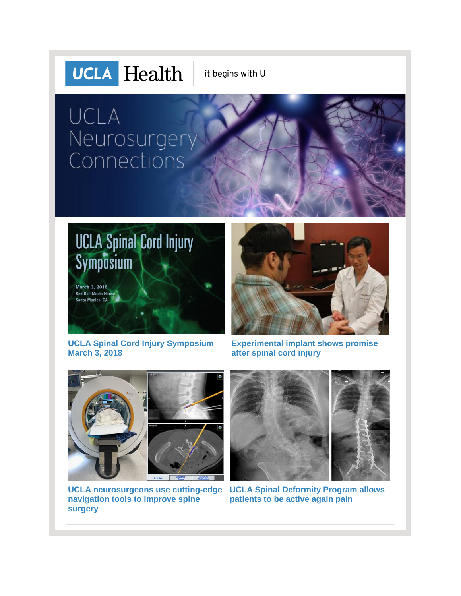

it begins with U

# UCLA Neurosurgery<br>Connections





**[UCLA Spinal Cord Injury Symposium](http://r20.rs6.net/tn.jsp?f=001mnzi_x1K4ERuuUdwXSKmRrq5LjuXq4xBC9HnG3oMcjJuioX5mButHQW677Xt2riqJYSUWLUKeLRB_mHpR_af2gKUB0CXDfIDwm_Di2lMgBGWFxnq7ZwYkSX5iCBrQoeyqUyFuxnXkzNvpnZ6Dv3FdQJMTterM1Zm733P4K81ZCio6O0R0dBXKdG4ApsCU2MoN5_RoTOQqWb2k78T7GyC8tY3yWCpKdszXfVyNxN5ge--5w79AxG8Dg==&c=R69NcXV5-uarM1LYMEhhVtegaSVKuJkiDpPSG15UqoWjQ6f3KldhHg==&ch=zzfDwsnKPu6InQFvsso8HbhTlhoMwTsXUSWk39cMi65MkYx0lby3mA==)  [March 3, 2018](http://r20.rs6.net/tn.jsp?f=001mnzi_x1K4ERuuUdwXSKmRrq5LjuXq4xBC9HnG3oMcjJuioX5mButHQW677Xt2riqJYSUWLUKeLRB_mHpR_af2gKUB0CXDfIDwm_Di2lMgBGWFxnq7ZwYkSX5iCBrQoeyqUyFuxnXkzNvpnZ6Dv3FdQJMTterM1Zm733P4K81ZCio6O0R0dBXKdG4ApsCU2MoN5_RoTOQqWb2k78T7GyC8tY3yWCpKdszXfVyNxN5ge--5w79AxG8Dg==&c=R69NcXV5-uarM1LYMEhhVtegaSVKuJkiDpPSG15UqoWjQ6f3KldhHg==&ch=zzfDwsnKPu6InQFvsso8HbhTlhoMwTsXUSWk39cMi65MkYx0lby3mA==)**

**[Experimental implant shows promise](http://r20.rs6.net/tn.jsp?f=001mnzi_x1K4ERuuUdwXSKmRrq5LjuXq4xBC9HnG3oMcjJuioX5mButHa8aS_qRIjAzfEWZJVsPXqKIZfa8PWkoUQcFVjRjtqieORlcMPJWbMBqoUtVajPBlmk3MIVEFCyUyxxbIbEtbj5tB2HSIrtWvI-4c0HJQ-pyJMKmYRcQ-ztCPACocGo7RAwpWedkc8YXtNfE2Dd2esCeSCu1iGr3m7Ocb2p2AgYfU-0wcBtuDIBdQaAtRzFgj623FcbcYZo2U0ex-3C8QqfraBVzPbuvdAi1Ls9dzD6YI0Hu2sbShL0=&c=R69NcXV5-uarM1LYMEhhVtegaSVKuJkiDpPSG15UqoWjQ6f3KldhHg==&ch=zzfDwsnKPu6InQFvsso8HbhTlhoMwTsXUSWk39cMi65MkYx0lby3mA==)  [after spinal cord injury](http://r20.rs6.net/tn.jsp?f=001mnzi_x1K4ERuuUdwXSKmRrq5LjuXq4xBC9HnG3oMcjJuioX5mButHa8aS_qRIjAzfEWZJVsPXqKIZfa8PWkoUQcFVjRjtqieORlcMPJWbMBqoUtVajPBlmk3MIVEFCyUyxxbIbEtbj5tB2HSIrtWvI-4c0HJQ-pyJMKmYRcQ-ztCPACocGo7RAwpWedkc8YXtNfE2Dd2esCeSCu1iGr3m7Ocb2p2AgYfU-0wcBtuDIBdQaAtRzFgj623FcbcYZo2U0ex-3C8QqfraBVzPbuvdAi1Ls9dzD6YI0Hu2sbShL0=&c=R69NcXV5-uarM1LYMEhhVtegaSVKuJkiDpPSG15UqoWjQ6f3KldhHg==&ch=zzfDwsnKPu6InQFvsso8HbhTlhoMwTsXUSWk39cMi65MkYx0lby3mA==)**



**[navigation tools to improve spine](http://r20.rs6.net/tn.jsp?f=001mnzi_x1K4ERuuUdwXSKmRrq5LjuXq4xBC9HnG3oMcjJuioX5mButHQW677Xt2riqZDYBzcgTcKYi392mM6L9WqJF4P8f-qOubdTVXBYcTeBNjjwZTT99XcqtP84U_s32dSYw9Ob7TRT5W6RQfWHB2ob2EK7YFbqefA73zM95RUwJm00ZnD1bQlez8hBdBT5WIUAtfd76y6CUzmz8WXkm9-PISdHIjEx1&c=R69NcXV5-uarM1LYMEhhVtegaSVKuJkiDpPSG15UqoWjQ6f3KldhHg==&ch=zzfDwsnKPu6InQFvsso8HbhTlhoMwTsXUSWk39cMi65MkYx0lby3mA==)  [surgery](http://r20.rs6.net/tn.jsp?f=001mnzi_x1K4ERuuUdwXSKmRrq5LjuXq4xBC9HnG3oMcjJuioX5mButHQW677Xt2riqZDYBzcgTcKYi392mM6L9WqJF4P8f-qOubdTVXBYcTeBNjjwZTT99XcqtP84U_s32dSYw9Ob7TRT5W6RQfWHB2ob2EK7YFbqefA73zM95RUwJm00ZnD1bQlez8hBdBT5WIUAtfd76y6CUzmz8WXkm9-PISdHIjEx1&c=R69NcXV5-uarM1LYMEhhVtegaSVKuJkiDpPSG15UqoWjQ6f3KldhHg==&ch=zzfDwsnKPu6InQFvsso8HbhTlhoMwTsXUSWk39cMi65MkYx0lby3mA==)**



[UCLA neurosurgeons use cutting-edge](http://r20.rs6.net/tn.jsp?f=001mnzi_x1K4ERuuUdwXSKmRrq5LjuXq4xBC9HnG3oMcjJuioX5mButHQW677Xt2riqZDYBzcgTcKYi392mM6L9WqJF4P8f-qOubdTVXBYcTeBNjjwZTT99XcqtP84U_s32dSYw9Ob7TRT5W6RQfWHB2ob2EK7YFbqefA73zM95RUwJm00ZnD1bQlez8hBdBT5WIUAtfd76y6CUzmz8WXkm9-PISdHIjEx1&c=R69NcXV5-uarM1LYMEhhVtegaSVKuJkiDpPSG15UqoWjQ6f3KldhHg==&ch=zzfDwsnKPu6InQFvsso8HbhTlhoMwTsXUSWk39cMi65MkYx0lby3mA==)  UCLA Spinal Deformity Program allows **[patients to be active again pain](http://r20.rs6.net/tn.jsp?f=001mnzi_x1K4ERuuUdwXSKmRrq5LjuXq4xBC9HnG3oMcjJuioX5mButHQW677Xt2riqwxTUY4o7yM_gH79XxWXc_ukLrH1GMB7jsnTKEoHmKv6ayOLGECXD0mjEpQobqSFfgtx5tqD724uiS9XVttioSU-RT-MQSXLgyxqrnJ5Yvv1-xCgzKUQTEj76RPoSLskUhT3OHmd72wceFZMlpRmUeQ==&c=R69NcXV5-uarM1LYMEhhVtegaSVKuJkiDpPSG15UqoWjQ6f3KldhHg==&ch=zzfDwsnKPu6InQFvsso8HbhTlhoMwTsXUSWk39cMi65MkYx0lby3mA==)**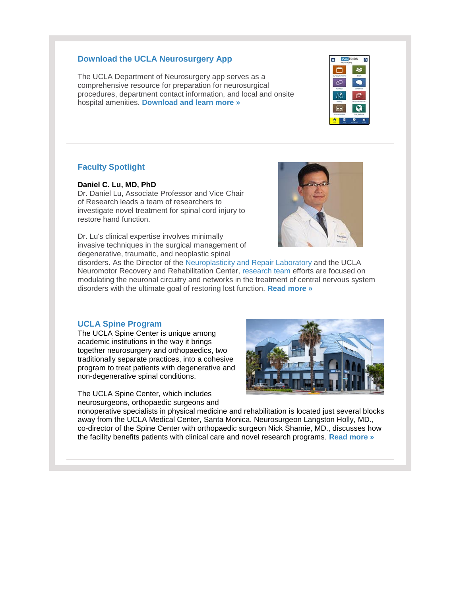#### **Download the UCLA Neurosurgery App**

The UCLA Department of Neurosurgery app serves as a comprehensive resource for preparation for neurosurgical procedures, department contact information, and local and onsite hospital amenities. **[Download and learn more »](http://r20.rs6.net/tn.jsp?f=001mnzi_x1K4ERuuUdwXSKmRrq5LjuXq4xBC9HnG3oMcjJuioX5mButHZirqENS6G7E0HtF2MkM33QZ8yNqqz2r5Nh3aSDLbpUUKO0DZ1yswKfgm2Y9HHSDKt2w0lTq1Ie2l0VqqSRk8OYytSfGZzwPu40MIuOYToNhw-QgXADU9XQLl2PLXfGP007Y303dsRhL8bu7oMPqp_4FXKjjofngig==&c=R69NcXV5-uarM1LYMEhhVtegaSVKuJkiDpPSG15UqoWjQ6f3KldhHg==&ch=zzfDwsnKPu6InQFvsso8HbhTlhoMwTsXUSWk39cMi65MkYx0lby3mA==)**



### **Faculty Spotlight**

#### **Daniel C. Lu, MD, PhD**

Dr. Daniel Lu, Associate Professor and Vice Chair of Research leads a team of researchers to investigate novel treatment for spinal cord injury to restore hand function.

Dr. Lu's clinical expertise involves minimally invasive techniques in the surgical management of degenerative, traumatic, and neoplastic spinal



disorders. As the Director of the [Neuroplasticity and Repair Laboratory](http://r20.rs6.net/tn.jsp?f=001mnzi_x1K4ERuuUdwXSKmRrq5LjuXq4xBC9HnG3oMcjJuioX5mButHQW677Xt2riqSyoiL2SWdJg7QJe8Hik-IIQqeMBEKoi1QdbPBSkSrSDXZ-WsMG0CS_omGPSKAl2LvF5fWBxGCYBeKYkhrNgWJVZrwj4QGWvmJMFVwudYwBjfDG5pn2UV3j4cLoe5MkqQcga5ny88HLctoq0kNensqOrAUxUaxllCZPTMZWg6Wzs=&c=R69NcXV5-uarM1LYMEhhVtegaSVKuJkiDpPSG15UqoWjQ6f3KldhHg==&ch=zzfDwsnKPu6InQFvsso8HbhTlhoMwTsXUSWk39cMi65MkYx0lby3mA==) and the UCLA Neuromotor Recovery and Rehabilitation Center, [research team](http://r20.rs6.net/tn.jsp?f=001mnzi_x1K4ERuuUdwXSKmRrq5LjuXq4xBC9HnG3oMcjJuioX5mButHQW677Xt2riq2lJRRIgOVRz6OuI0VHQq9J0tyOJs8EKPhuANLUV0jGguPo2Q9cqt9i5uG_Pcnv1nGtjxy1mpALblAI4b0949MbfO7IENa7ha1C4_qXveFeDgzCjvndLQIAUXTKKsA_kc&c=R69NcXV5-uarM1LYMEhhVtegaSVKuJkiDpPSG15UqoWjQ6f3KldhHg==&ch=zzfDwsnKPu6InQFvsso8HbhTlhoMwTsXUSWk39cMi65MkYx0lby3mA==) efforts are focused on modulating the neuronal circuitry and networks in the treatment of central nervous system disorders with the ultimate goal of restoring lost function. **[Read more »](http://r20.rs6.net/tn.jsp?f=001mnzi_x1K4ERuuUdwXSKmRrq5LjuXq4xBC9HnG3oMcjJuioX5mButHQW677Xt2riqVCN_F3W6h0cLjnopQeTVMn_c_IWNLr3L-HHTRJjfsLDQj19BxYAHN-UqkP5PKn6M8AsEypNWp2PXRX7UvwMBAZp-yS35QaffDfbtJ8yz9JtNt-wiluKAetCS3RwVJLPi&c=R69NcXV5-uarM1LYMEhhVtegaSVKuJkiDpPSG15UqoWjQ6f3KldhHg==&ch=zzfDwsnKPu6InQFvsso8HbhTlhoMwTsXUSWk39cMi65MkYx0lby3mA==)**

#### **UCLA Spine Program**

The UCLA Spine Center is unique among academic institutions in the way it brings together neurosurgery and orthopaedics, two traditionally separate practices, into a cohesive program to treat patients with degenerative and non-degenerative spinal conditions.

The UCLA Spine Center, which includes neurosurgeons, orthopaedic surgeons and



nonoperative specialists in physical medicine and rehabilitation is located just several blocks away from the UCLA Medical Center, Santa Monica. Neurosurgeon Langston Holly, MD., co-director of the Spine Center with orthopaedic surgeon Nick Shamie, MD., discusses how the facility benefits patients with clinical care and novel research programs. **[Read more »](http://r20.rs6.net/tn.jsp?f=001mnzi_x1K4ERuuUdwXSKmRrq5LjuXq4xBC9HnG3oMcjJuioX5mButHQW677Xt2riqWkw9DcQ7y83TOrpVo1uncixvpJK-afEafiOY9ONPjUv_HsnPAIHw8PhVbgB8X1tN_ZAVApcSJ4CzoZFajg5JfcJ8jCuAJ_Cc__B9vhmv4vcFu3l9Y9M-1TwaDJuVoWResQENkBiM7osUyx3TcpmRBuHgbEgFDDTt&c=R69NcXV5-uarM1LYMEhhVtegaSVKuJkiDpPSG15UqoWjQ6f3KldhHg==&ch=zzfDwsnKPu6InQFvsso8HbhTlhoMwTsXUSWk39cMi65MkYx0lby3mA==)**